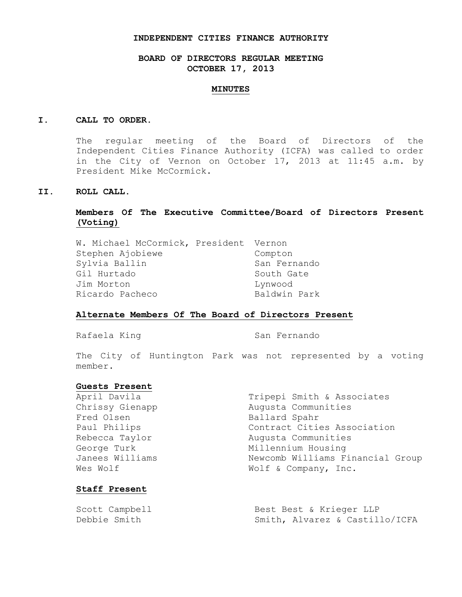#### **INDEPENDENT CITIES FINANCE AUTHORITY**

# **BOARD OF DIRECTORS REGULAR MEETING OCTOBER 17, 2013**

#### **MINUTES**

## **I. CALL TO ORDER.**

The regular meeting of the Board of Directors of the Independent Cities Finance Authority (ICFA) was called to order in the City of Vernon on October 17, 2013 at 11:45 a.m. by President Mike McCormick.

# **II. ROLL CALL.**

# **Members Of The Executive Committee/Board of Directors Present (Voting)**

| W. Michael McCormick, President Vernon |              |
|----------------------------------------|--------------|
| Stephen Ajobiewe                       | Compton      |
| Sylvia Ballin                          | San Fernando |
| Gil Hurtado                            | South Gate   |
| Jim Morton                             | Lynwood      |
| Ricardo Pacheco                        | Baldwin Park |
|                                        |              |

## **Alternate Members Of The Board of Directors Present**

Rafaela King San Fernando

The City of Huntington Park was not represented by a voting member.

## **Guests Present**

| April Davila    | Tripepi Smith & Associates       |  |
|-----------------|----------------------------------|--|
| Chrissy Gienapp | Augusta Communities              |  |
| Fred Olsen      | Ballard Spahr                    |  |
| Paul Philips    | Contract Cities Association      |  |
| Rebecca Taylor  | Augusta Communities              |  |
| George Turk     | Millennium Housing               |  |
| Janees Williams | Newcomb Williams Financial Group |  |
| Wes Wolf        | Wolf & Company, Inc.             |  |
|                 |                                  |  |

## **Staff Present**

| Scott Campbell | Best Best & Krieger LLP        |
|----------------|--------------------------------|
| Debbie Smith   | Smith, Alvarez & Castillo/ICFA |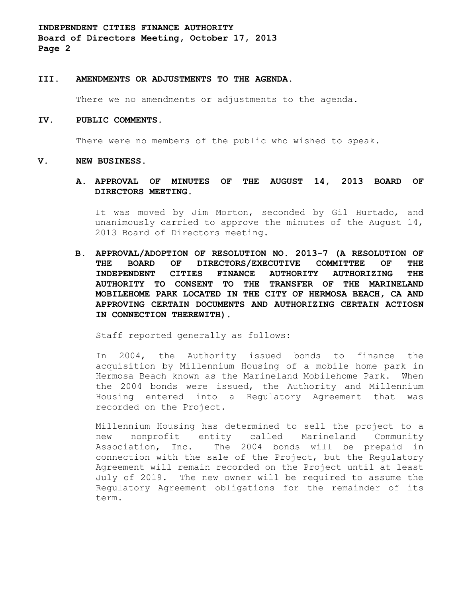**INDEPENDENT CITIES FINANCE AUTHORITY Board of Directors Meeting, October 17, 2013 Page 2**

## **III. AMENDMENTS OR ADJUSTMENTS TO THE AGENDA.**

There we no amendments or adjustments to the agenda.

#### **IV. PUBLIC COMMENTS.**

There were no members of the public who wished to speak.

#### **V. NEW BUSINESS.**

**A. APPROVAL OF MINUTES OF THE AUGUST 14, 2013 BOARD OF DIRECTORS MEETING.**

It was moved by Jim Morton, seconded by Gil Hurtado, and unanimously carried to approve the minutes of the August 14, 2013 Board of Directors meeting.

**B. APPROVAL/ADOPTION OF RESOLUTION NO. 2013-7 (A RESOLUTION OF THE BOARD OF DIRECTORS/EXECUTIVE COMMITTEE OF THE INDEPENDENT CITIES FINANCE AUTHORITY AUTHORIZING THE AUTHORITY TO CONSENT TO THE TRANSFER OF THE MARINELAND MOBILEHOME PARK LOCATED IN THE CITY OF HERMOSA BEACH, CA AND APPROVING CERTAIN DOCUMENTS AND AUTHORIZING CERTAIN ACTIOSN IN CONNECTION THEREWITH).**

Staff reported generally as follows:

In 2004, the Authority issued bonds to finance the acquisition by Millennium Housing of a mobile home park in Hermosa Beach known as the Marineland Mobilehome Park. When the 2004 bonds were issued, the Authority and Millennium Housing entered into a Regulatory Agreement that was recorded on the Project.

Millennium Housing has determined to sell the project to a new nonprofit entity called Marineland Community Association, Inc. The 2004 bonds will be prepaid in connection with the sale of the Project, but the Regulatory Agreement will remain recorded on the Project until at least July of 2019. The new owner will be required to assume the Regulatory Agreement obligations for the remainder of its term.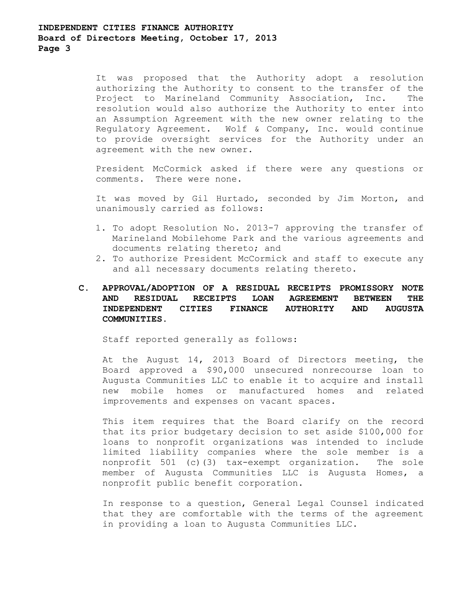# **INDEPENDENT CITIES FINANCE AUTHORITY Board of Directors Meeting, October 17, 2013 Page 3**

It was proposed that the Authority adopt a resolution authorizing the Authority to consent to the transfer of the Project to Marineland Community Association, Inc. The resolution would also authorize the Authority to enter into an Assumption Agreement with the new owner relating to the Regulatory Agreement. Wolf & Company, Inc. would continue to provide oversight services for the Authority under an agreement with the new owner.

President McCormick asked if there were any questions or comments. There were none.

It was moved by Gil Hurtado, seconded by Jim Morton, and unanimously carried as follows:

- 1. To adopt Resolution No. 2013-7 approving the transfer of Marineland Mobilehome Park and the various agreements and documents relating thereto; and
- 2. To authorize President McCormick and staff to execute any and all necessary documents relating thereto.

# **C. APPROVAL/ADOPTION OF A RESIDUAL RECEIPTS PROMISSORY NOTE AND RESIDUAL RECEIPTS LOAN AGREEMENT BETWEEN THE INDEPENDENT CITIES FINANCE AUTHORITY AND AUGUSTA COMMUNITIES.**

Staff reported generally as follows:

At the August 14, 2013 Board of Directors meeting, the Board approved a \$90,000 unsecured nonrecourse loan to Augusta Communities LLC to enable it to acquire and install new mobile homes or manufactured homes and related improvements and expenses on vacant spaces.

This item requires that the Board clarify on the record that its prior budgetary decision to set aside \$100,000 for loans to nonprofit organizations was intended to include limited liability companies where the sole member is a nonprofit 501 (c)(3) tax-exempt organization. The sole member of Augusta Communities LLC is Augusta Homes, a nonprofit public benefit corporation.

In response to a question, General Legal Counsel indicated that they are comfortable with the terms of the agreement in providing a loan to Augusta Communities LLC.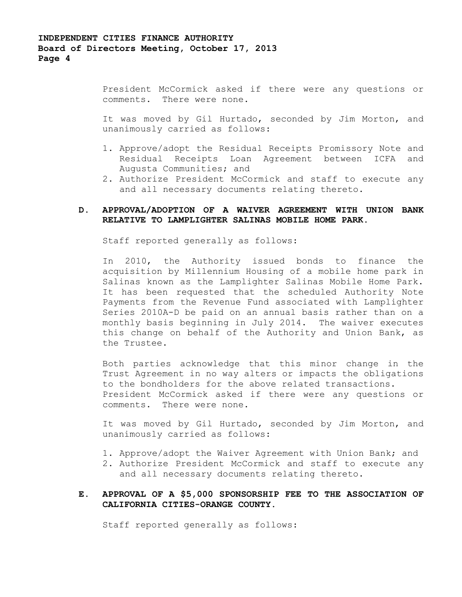President McCormick asked if there were any questions or comments. There were none.

It was moved by Gil Hurtado, seconded by Jim Morton, and unanimously carried as follows:

- 1. Approve/adopt the Residual Receipts Promissory Note and Residual Receipts Loan Agreement between ICFA and Augusta Communities; and
- 2. Authorize President McCormick and staff to execute any and all necessary documents relating thereto.

# **D. APPROVAL/ADOPTION OF A WAIVER AGREEMENT WITH UNION BANK RELATIVE TO LAMPLIGHTER SALINAS MOBILE HOME PARK.**

Staff reported generally as follows:

In 2010, the Authority issued bonds to finance the acquisition by Millennium Housing of a mobile home park in Salinas known as the Lamplighter Salinas Mobile Home Park. It has been requested that the scheduled Authority Note Payments from the Revenue Fund associated with Lamplighter Series 2010A-D be paid on an annual basis rather than on a monthly basis beginning in July 2014. The waiver executes this change on behalf of the Authority and Union Bank, as the Trustee.

Both parties acknowledge that this minor change in the Trust Agreement in no way alters or impacts the obligations to the bondholders for the above related transactions. President McCormick asked if there were any questions or comments. There were none.

It was moved by Gil Hurtado, seconded by Jim Morton, and unanimously carried as follows:

- 1. Approve/adopt the Waiver Agreement with Union Bank; and
- 2. Authorize President McCormick and staff to execute any and all necessary documents relating thereto.

# **E. APPROVAL OF A \$5,000 SPONSORSHIP FEE TO THE ASSOCIATION OF CALIFORNIA CITIES-ORANGE COUNTY.**

Staff reported generally as follows: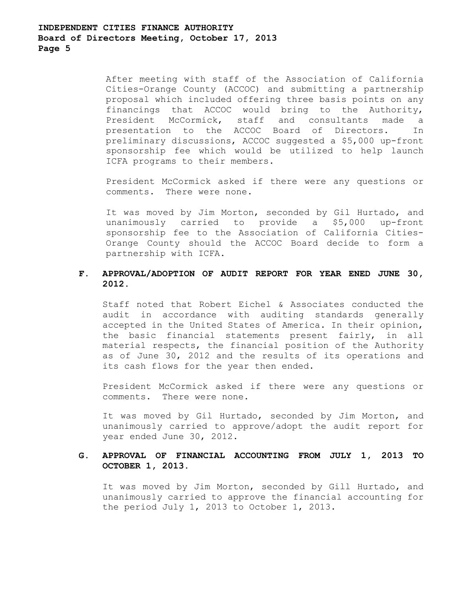After meeting with staff of the Association of California Cities-Orange County (ACCOC) and submitting a partnership proposal which included offering three basis points on any financings that ACCOC would bring to the Authority, President McCormick, staff and consultants made a presentation to the ACCOC Board of Directors. In preliminary discussions, ACCOC suggested a \$5,000 up-front sponsorship fee which would be utilized to help launch ICFA programs to their members.

President McCormick asked if there were any questions or comments. There were none.

It was moved by Jim Morton, seconded by Gil Hurtado, and unanimously carried to provide a \$5,000 up-front sponsorship fee to the Association of California Cities-Orange County should the ACCOC Board decide to form a partnership with ICFA.

# **F. APPROVAL/ADOPTION OF AUDIT REPORT FOR YEAR ENED JUNE 30, 2012.**

Staff noted that Robert Eichel & Associates conducted the audit in accordance with auditing standards generally accepted in the United States of America. In their opinion, the basic financial statements present fairly, in all material respects, the financial position of the Authority as of June 30, 2012 and the results of its operations and its cash flows for the year then ended.

President McCormick asked if there were any questions or comments. There were none.

It was moved by Gil Hurtado, seconded by Jim Morton, and unanimously carried to approve/adopt the audit report for year ended June 30, 2012.

# **G. APPROVAL OF FINANCIAL ACCOUNTING FROM JULY 1, 2013 TO OCTOBER 1, 2013.**

It was moved by Jim Morton, seconded by Gill Hurtado, and unanimously carried to approve the financial accounting for the period July 1, 2013 to October 1, 2013.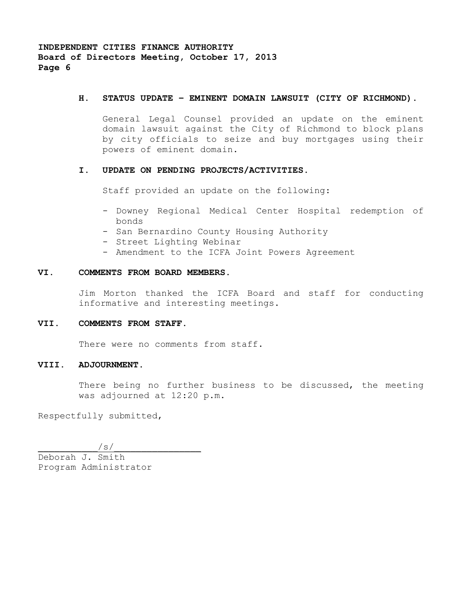**INDEPENDENT CITIES FINANCE AUTHORITY Board of Directors Meeting, October 17, 2013 Page 6**

#### **H. STATUS UPDATE – EMINENT DOMAIN LAWSUIT (CITY OF RICHMOND).**

General Legal Counsel provided an update on the eminent domain lawsuit against the City of Richmond to block plans by city officials to seize and buy mortgages using their powers of eminent domain.

## **I. UPDATE ON PENDING PROJECTS/ACTIVITIES.**

Staff provided an update on the following:

- Downey Regional Medical Center Hospital redemption of bonds
- San Bernardino County Housing Authority
- Street Lighting Webinar
- Amendment to the ICFA Joint Powers Agreement

## **VI. COMMENTS FROM BOARD MEMBERS.**

Jim Morton thanked the ICFA Board and staff for conducting informative and interesting meetings.

# **VII. COMMENTS FROM STAFF.**

There were no comments from staff.

# **VIII. ADJOURNMENT.**

There being no further business to be discussed, the meeting was adjourned at 12:20 p.m.

Respectfully submitted,

 $\sqrt{s/2}$ Deborah J. Smith Program Administrator